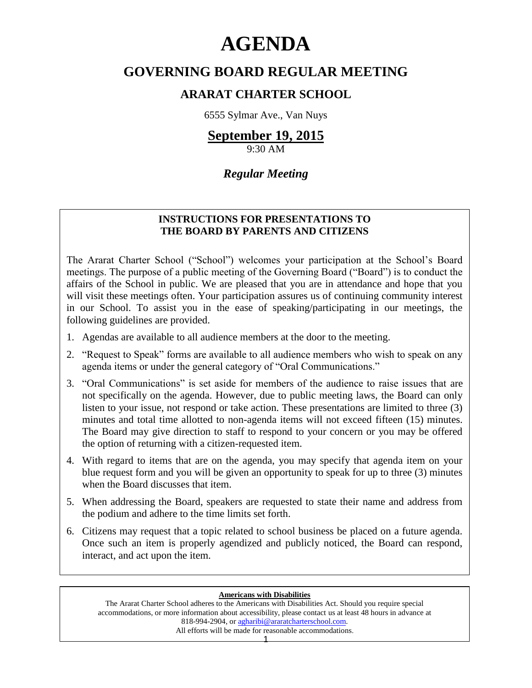# **AGENDA**

# **GOVERNING BOARD REGULAR MEETING**

# **ARARAT CHARTER SCHOOL**

6555 Sylmar Ave., Van Nuys

# **September 19, 2015**

9:30 AM

# *Regular Meeting*

# **INSTRUCTIONS FOR PRESENTATIONS TO THE BOARD BY PARENTS AND CITIZENS**

The Ararat Charter School ("School") welcomes your participation at the School's Board meetings. The purpose of a public meeting of the Governing Board ("Board") is to conduct the affairs of the School in public. We are pleased that you are in attendance and hope that you will visit these meetings often. Your participation assures us of continuing community interest in our School. To assist you in the ease of speaking/participating in our meetings, the following guidelines are provided.

- 1. Agendas are available to all audience members at the door to the meeting.
- 2. "Request to Speak" forms are available to all audience members who wish to speak on any agenda items or under the general category of "Oral Communications."
- 3. "Oral Communications" is set aside for members of the audience to raise issues that are not specifically on the agenda. However, due to public meeting laws, the Board can only listen to your issue, not respond or take action. These presentations are limited to three (3) minutes and total time allotted to non-agenda items will not exceed fifteen (15) minutes. The Board may give direction to staff to respond to your concern or you may be offered the option of returning with a citizen-requested item.
- 4. With regard to items that are on the agenda, you may specify that agenda item on your blue request form and you will be given an opportunity to speak for up to three (3) minutes when the Board discusses that item.
- 5. When addressing the Board, speakers are requested to state their name and address from the podium and adhere to the time limits set forth.
- 6. Citizens may request that a topic related to school business be placed on a future agenda. Once such an item is properly agendized and publicly noticed, the Board can respond, interact, and act upon the item.

#### **Americans with Disabilities**

The Ararat Charter School adheres to the Americans with Disabilities Act. Should you require special accommodations, or more information about accessibility, please contact us at least 48 hours in advance at 818-994-2904, or [agharibi@araratcharterschool.com.](mailto:agharibi@araratcharterschool.com)  All efforts will be made for reasonable accommodations.

1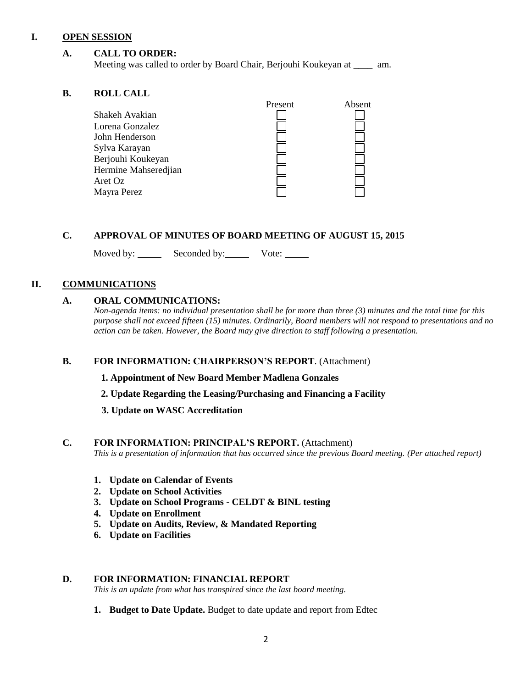#### **I. OPEN SESSION**

#### **A. CALL TO ORDER:**

Meeting was called to order by Board Chair, Berjouhi Koukeyan at \_\_\_\_ am.

#### **B. ROLL CALL**

| Shakeh Avakian       | Present | Absent |
|----------------------|---------|--------|
| Lorena Gonzalez      |         |        |
| John Henderson       |         |        |
| Sylva Karayan        |         |        |
| Berjouhi Koukeyan    |         |        |
| Hermine Mahseredjian |         |        |
| Aret Oz              |         |        |
| Mayra Perez          |         |        |
|                      |         |        |

#### **C. APPROVAL OF MINUTES OF BOARD MEETING OF AUGUST 15, 2015**

Moved by: Seconded by: Vote:

## **II. COMMUNICATIONS**

#### **A. ORAL COMMUNICATIONS:**

*Non-agenda items: no individual presentation shall be for more than three (3) minutes and the total time for this purpose shall not exceed fifteen (15) minutes. Ordinarily, Board members will not respond to presentations and no action can be taken. However, the Board may give direction to staff following a presentation.*

## **B. FOR INFORMATION: CHAIRPERSON'S REPORT**. (Attachment)

#### **1. Appointment of New Board Member Madlena Gonzales**

- **2. Update Regarding the Leasing/Purchasing and Financing a Facility**
- **3. Update on WASC Accreditation**

#### **C. FOR INFORMATION: PRINCIPAL'S REPORT.** (Attachment)

*This is a presentation of information that has occurred since the previous Board meeting. (Per attached report)*

- **1. Update on Calendar of Events**
- **2. Update on School Activities**
- **3. Update on School Programs - CELDT & BINL testing**
- **4. Update on Enrollment**
- **5. Update on Audits, Review, & Mandated Reporting**
- **6. Update on Facilities**

#### **D. FOR INFORMATION: FINANCIAL REPORT**

*This is an update from what has transpired since the last board meeting.*

**1. Budget to Date Update.** Budget to date update and report from Edtec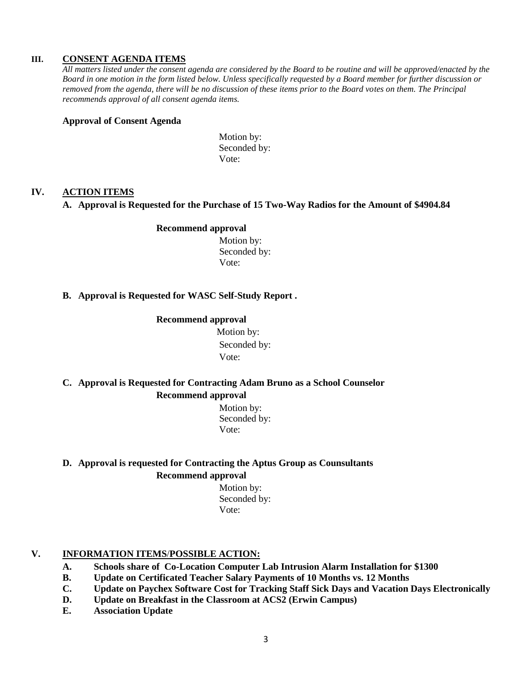#### **III. CONSENT AGENDA ITEMS**

*All matters listed under the consent agenda are considered by the Board to be routine and will be approved/enacted by the Board in one motion in the form listed below. Unless specifically requested by a Board member for further discussion or removed from the agenda, there will be no discussion of these items prior to the Board votes on them. The Principal recommends approval of all consent agenda items.*

#### **Approval of Consent Agenda**

Motion by: Seconded by: Vote:

#### **IV. ACTION ITEMS**

#### **A. Approval is Requested for the Purchase of 15 Two-Way Radios for the Amount of \$4904.84**

#### **Recommend approval** Motion by:

Seconded by: Vote:

#### **B. Approval is Requested for WASC Self-Study Report .**

#### **Recommend approval**

 Motion by: Seconded by: Vote:

## **C. Approval is Requested for Contracting Adam Bruno as a School Counselor Recommend approval**

 Motion by: Seconded by: Vote:

# **D. Approval is requested for Contracting the Aptus Group as Counsultants Recommend approval**

 Motion by: Seconded by: Vote:

## **V. INFORMATION ITEMS**/**POSSIBLE ACTION:**

- **A. Schools share of Co-Location Computer Lab Intrusion Alarm Installation for \$1300**
- **B. Update on Certificated Teacher Salary Payments of 10 Months vs. 12 Months**
- **C. Update on Paychex Software Cost for Tracking Staff Sick Days and Vacation Days Electronically**
- **D. Update on Breakfast in the Classroom at ACS2 (Erwin Campus)**
- **E. Association Update**